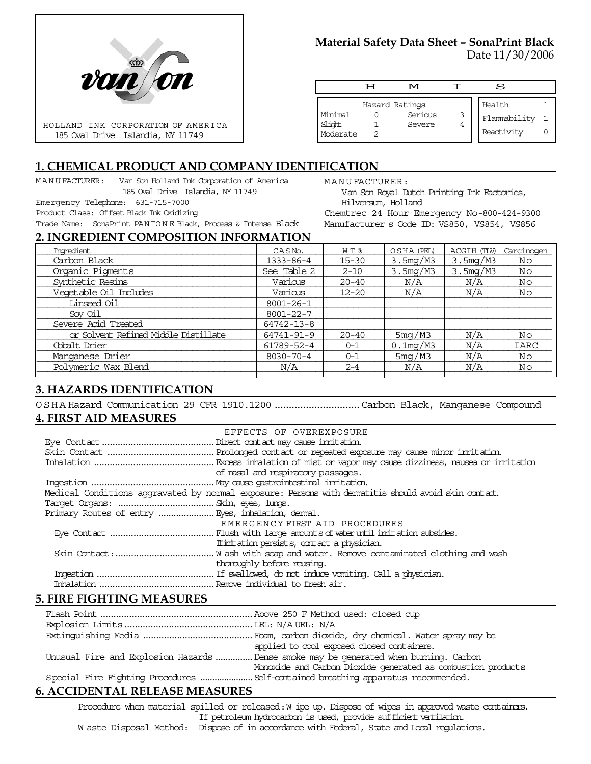

# **Material Safety Data Sheet – SonaPrint Black**

Date 11/30/2006

|                               | டா | M                                   |   | S                                    |  |
|-------------------------------|----|-------------------------------------|---|--------------------------------------|--|
| Minimal<br>Slight<br>Moderate |    | Hazard Ratings<br>Serious<br>Severe | 3 | Health<br>Flammability<br>Reactivity |  |

Van Son Royal Dutch Printing Ink Factories,

Chemtrec 24 Hour Emergency No-800-424-9300 Manufacturer s Code ID: VS850, VS854, VS856

MANUFACTURER:

Hilversum, Holland

# **1. CHEMICAL PRODUCT AND COMPANY IDENTIFICATION**

MANUFACTURER: Van Son Holland Ink Corporation of America 185 Oval Drive Islandia, NY 11749

Emergency Telephone: 631-715-7000

Product Class: Offset Black Ink Oxidizing

Trade Name: SonaPrint PANTO N E Black, Process & Intense Black

#### **2. INGREDIENT COMPOSITION INFORMATION**

| Ingredient                           | CASN <sub>o</sub> . | WT %      | OSHA (PEL)  | ACGIH (TLV) | Carcinogen |
|--------------------------------------|---------------------|-----------|-------------|-------------|------------|
| Carbon Black                         | $1333 - 86 - 4$     | $15 - 30$ | 3.5mg/M3    | 3.5mg/M3    | Νo         |
| Organic Pigments                     | See Table 2         | $2 - 10$  | 3.5mg/M3    | 3.5mg/M3    | Nο         |
| Synthetic Resins                     | Various             | $20 - 40$ | N/A         | N/A         | Nο         |
| Vegetable Oil Includes               | Various             | $12 - 20$ | N/A         | N/A         | Nο         |
| Linseed Oil                          | $8001 - 26 - 1$     |           |             |             |            |
| Sov Oil                              | $8001 - 22 - 7$     |           |             |             |            |
| Severe Acid Treated                  | 64742-13-8          |           |             |             |            |
| or Solvent Refined Middle Distillate | 64741-91-9          | $20 - 40$ | 5mg/M3      | N/A         | Νo         |
| Cobalt Drier                         | 61789-52-4          | $0 - 1$   | $0.1$ mg/M3 | N/A         | IARC       |
| Manganese Drier                      | $8030 - 70 - 4$     | $0 - 1$   | 5mg/M3      | N/A         | Νo         |
| Polymeric Wax Blend                  | N/A                 | $2 - 4$   | N/A         | N/A         | Νo         |
|                                      |                     |           |             |             |            |

## **3. HAZARDS IDENTIFICATION**

OSHA Hazard Communication 29 CFR 1910.1200 ..............................Carbon Black, Manganese Compound **4. FIRST AID MEASURES**

| EFFECTS OF OVEREXPOSURE                                                                            |  |  |  |
|----------------------------------------------------------------------------------------------------|--|--|--|
|                                                                                                    |  |  |  |
|                                                                                                    |  |  |  |
|                                                                                                    |  |  |  |
| of nasal and respiratory passages.                                                                 |  |  |  |
|                                                                                                    |  |  |  |
| Medical Conditions aggravated by normal exposure: Persons with dematitis should avoid skin contat. |  |  |  |
|                                                                                                    |  |  |  |
|                                                                                                    |  |  |  |
| EMERGENCY FIRST AID PROCEDURES                                                                     |  |  |  |
|                                                                                                    |  |  |  |
| If initiation persists, contact a physician.                                                       |  |  |  |
|                                                                                                    |  |  |  |
| thoroughly before reusing.                                                                         |  |  |  |
|                                                                                                    |  |  |  |
|                                                                                                    |  |  |  |

#### **5. FIRE FIGHTING MEASURES**

| applied to cool exposed closed containers.                                            |
|---------------------------------------------------------------------------------------|
| Unusual Fire and Explosion Hazards  Dense smoke may be generated when burning. Carbon |
| Monoxide and Carbon Dioxide generated as combustion products                          |
|                                                                                       |
|                                                                                       |

## **6. ACCIDENTAL RELEASE MEASURES**

Procedure when material spilled or released: W ipe up. Dispose of wipes in approved waste containers. If petroleum hydrocarbon is used, provide sufficient ventilation. W aste Disposal Method: Dispose of in accordance with Federal, State and Local regulations.